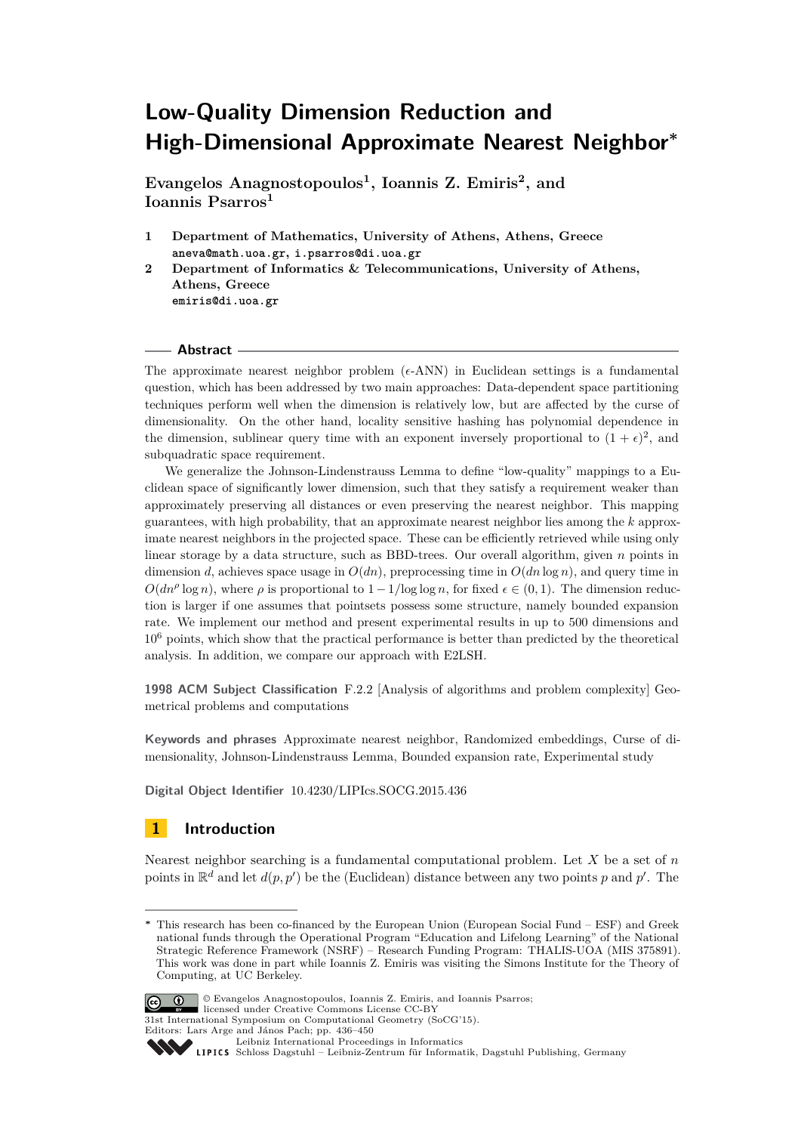# **Low-Quality Dimension Reduction and High-Dimensional Approximate Nearest Neighbor<sup>∗</sup>**

**Evangelos Anagnostopoulos<sup>1</sup> , Ioannis Z. Emiris<sup>2</sup> , and Ioannis Psarros<sup>1</sup>**

- **1 Department of Mathematics, University of Athens, Athens, Greece aneva@math.uoa.gr, i.psarros@di.uoa.gr**
- **2 Department of Informatics & Telecommunications, University of Athens, Athens, Greece emiris@di.uoa.gr**

## - Abstract -

The approximate nearest neighbor problem  $(\epsilon$ -ANN) in Euclidean settings is a fundamental question, which has been addressed by two main approaches: Data-dependent space partitioning techniques perform well when the dimension is relatively low, but are affected by the curse of dimensionality. On the other hand, locality sensitive hashing has polynomial dependence in the dimension, sublinear query time with an exponent inversely proportional to  $(1 + \epsilon)^2$ , and subquadratic space requirement.

We generalize the Johnson-Lindenstrauss Lemma to define "low-quality" mappings to a Euclidean space of significantly lower dimension, such that they satisfy a requirement weaker than approximately preserving all distances or even preserving the nearest neighbor. This mapping guarantees, with high probability, that an approximate nearest neighbor lies among the *k* approximate nearest neighbors in the projected space. These can be efficiently retrieved while using only linear storage by a data structure, such as BBD-trees. Our overall algorithm, given *n* points in dimension *d*, achieves space usage in  $O(dn)$ , preprocessing time in  $O(dn \log n)$ , and query time in  $O(dn^{\rho} \log n)$ , where  $\rho$  is proportional to  $1 - 1/\log \log n$ , for fixed  $\epsilon \in (0, 1)$ . The dimension reduction is larger if one assumes that pointsets possess some structure, namely bounded expansion rate. We implement our method and present experimental results in up to 500 dimensions and 10<sup>6</sup> points, which show that the practical performance is better than predicted by the theoretical analysis. In addition, we compare our approach with E2LSH.

**1998 ACM Subject Classification** F.2.2 [Analysis of algorithms and problem complexity] Geometrical problems and computations

**Keywords and phrases** Approximate nearest neighbor, Randomized embeddings, Curse of dimensionality, Johnson-Lindenstrauss Lemma, Bounded expansion rate, Experimental study

**Digital Object Identifier** [10.4230/LIPIcs.SOCG.2015.436](http://dx.doi.org/10.4230/LIPIcs.SOCG.2015.436)

# **1 Introduction**

Nearest neighbor searching is a fundamental computational problem. Let *X* be a set of *n* points in  $\mathbb{R}^d$  and let  $d(p, p')$  be the (Euclidean) distance between any two points p and p'. The

**<sup>∗</sup>** This research has been co-financed by the European Union (European Social Fund – ESF) and Greek national funds through the Operational Program "Education and Lifelong Learning" of the National Strategic Reference Framework (NSRF) – Research Funding Program: THALIS-UOA (MIS 375891). This work was done in part while Ioannis Z. Emiris was visiting the Simons Institute for the Theory of Computing, at UC Berkeley.



<sup>©</sup> Evangelos Anagnostopoulos, Ioannis Z. Emiris, and Ioannis Psarros;

licensed under Creative Commons License CC-BY 31st International Symposium on Computational Geometry (SoCG'15).

Editors: Lars Arge and János Pach; pp. 436[–450](#page-14-0)

[Leibniz International Proceedings in Informatics](http://www.dagstuhl.de/lipics/)

[Schloss Dagstuhl – Leibniz-Zentrum für Informatik, Dagstuhl Publishing, Germany](http://www.dagstuhl.de)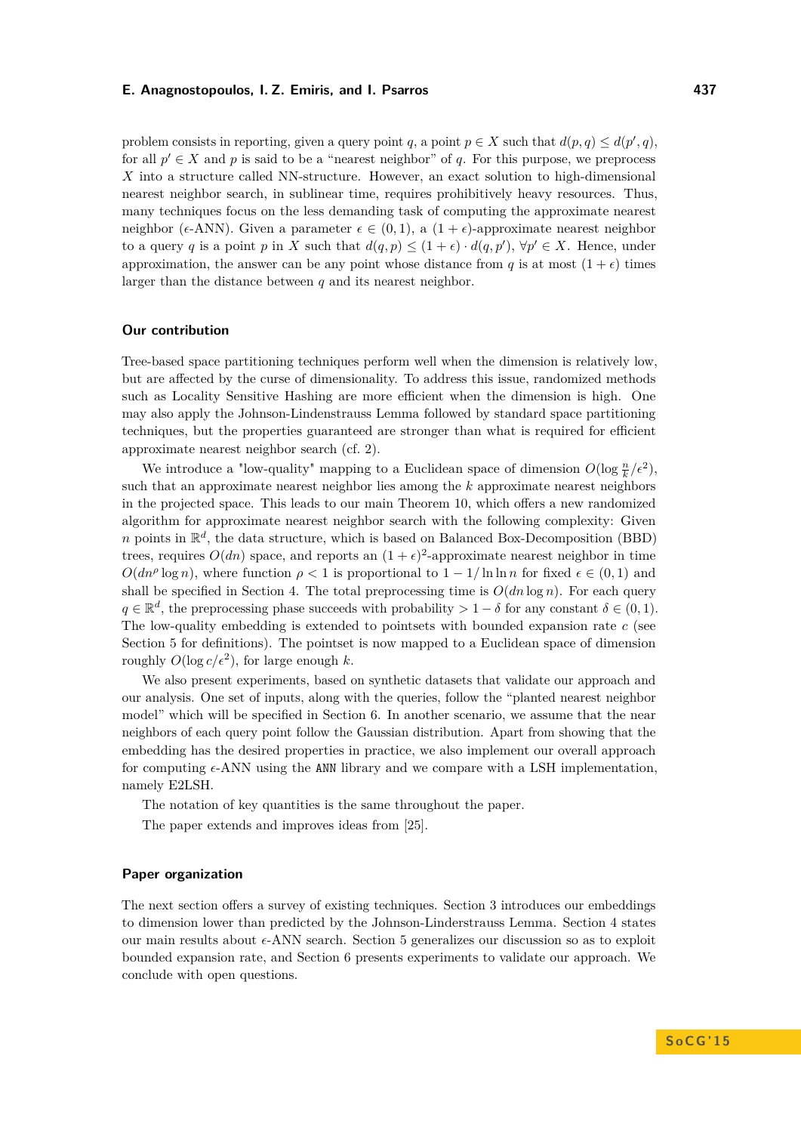problem consists in reporting, given a query point *q*, a point  $p \in X$  such that  $d(p, q) \leq d(p', q)$ , for all  $p' \in X$  and p is said to be a "nearest neighbor" of q. For this purpose, we preprocess *X* into a structure called NN-structure. However, an exact solution to high-dimensional nearest neighbor search, in sublinear time, requires prohibitively heavy resources. Thus, many techniques focus on the less demanding task of computing the approximate nearest neighbor ( $\epsilon$ -ANN). Given a parameter  $\epsilon \in (0,1)$ , a  $(1+\epsilon)$ -approximate nearest neighbor to a query *q* is a point *p* in *X* such that  $d(q, p) \leq (1 + \epsilon) \cdot d(q, p')$ ,  $\forall p' \in X$ . Hence, under approximation, the answer can be any point whose distance from *q* is at most  $(1 + \epsilon)$  times larger than the distance between *q* and its nearest neighbor.

## **Our contribution**

Tree-based space partitioning techniques perform well when the dimension is relatively low, but are affected by the curse of dimensionality. To address this issue, randomized methods such as Locality Sensitive Hashing are more efficient when the dimension is high. One may also apply the Johnson-Lindenstrauss Lemma followed by standard space partitioning techniques, but the properties guaranteed are stronger than what is required for efficient approximate nearest neighbor search (cf. [2\)](#page-2-0).

We introduce a "low-quality" mapping to a Euclidean space of dimension  $O(\log \frac{n}{k}/\epsilon^2)$ , such that an approximate nearest neighbor lies among the *k* approximate nearest neighbors in the projected space. This leads to our main Theorem [10,](#page-7-0) which offers a new randomized algorithm for approximate nearest neighbor search with the following complexity: Given *n* points in  $\mathbb{R}^d$ , the data structure, which is based on Balanced Box-Decomposition (BBD) trees, requires  $O(dn)$  space, and reports an  $(1 + \epsilon)^2$ -approximate nearest neighbor in time  $O(dn^{\rho} \log n)$ , where function  $\rho < 1$  is proportional to  $1 - 1/\ln \ln n$  for fixed  $\epsilon \in (0, 1)$  and shall be specified in Section [4.](#page-6-0) The total preprocessing time is  $O(dn \log n)$ . For each query  $q \in \mathbb{R}^d$ , the preprocessing phase succeeds with probability  $> 1 - \delta$  for any constant  $\delta \in (0, 1)$ . The low-quality embedding is extended to pointsets with bounded expansion rate *c* (see Section [5](#page-8-0) for definitions). The pointset is now mapped to a Euclidean space of dimension roughly  $O(\log c/\epsilon^2)$ , for large enough k.

We also present experiments, based on synthetic datasets that validate our approach and our analysis. One set of inputs, along with the queries, follow the "planted nearest neighbor model" which will be specified in Section [6.](#page-9-0) In another scenario, we assume that the near neighbors of each query point follow the Gaussian distribution. Apart from showing that the embedding has the desired properties in practice, we also implement our overall approach for computing  $\epsilon$ -ANN using the ANN library and we compare with a LSH implementation, namely E2LSH.

The notation of key quantities is the same throughout the paper.

The paper extends and improves ideas from [\[25\]](#page-14-1).

## **Paper organization**

The next section offers a survey of existing techniques. Section [3](#page-3-0) introduces our embeddings to dimension lower than predicted by the Johnson-Linderstrauss Lemma. Section [4](#page-6-0) states our main results about  $\epsilon$ -ANN search. Section [5](#page-8-0) generalizes our discussion so as to exploit bounded expansion rate, and Section [6](#page-9-0) presents experiments to validate our approach. We conclude with open questions.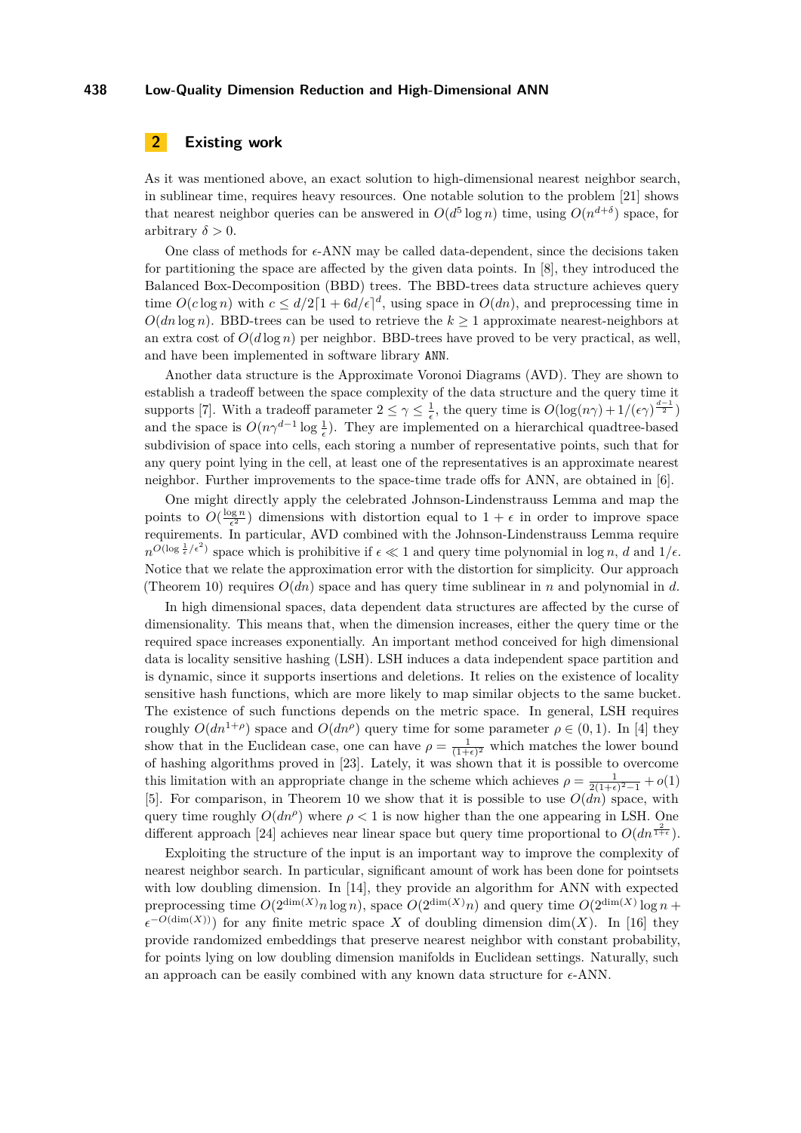# <span id="page-2-0"></span>**2 Existing work**

As it was mentioned above, an exact solution to high-dimensional nearest neighbor search, in sublinear time, requires heavy resources. One notable solution to the problem [\[21\]](#page-14-2) shows that nearest neighbor queries can be answered in  $O(d^5 \log n)$  time, using  $O(n^{d+\delta})$  space, for arbitrary  $\delta > 0$ .

One class of methods for  $\epsilon$ -ANN may be called data-dependent, since the decisions taken for partitioning the space are affected by the given data points. In [\[8\]](#page-14-3), they introduced the Balanced Box-Decomposition (BBD) trees. The BBD-trees data structure achieves query time  $O(c \log n)$  with  $c \le d/2[1 + 6d/\epsilon]^d$ , using space in  $O(dn)$ , and preprocessing time in  $O(dn \log n)$ . BBD-trees can be used to retrieve the  $k \geq 1$  approximate nearest-neighbors at an extra cost of  $O(d \log n)$  per neighbor. BBD-trees have proved to be very practical, as well, and have been implemented in software library ANN.

Another data structure is the Approximate Voronoi Diagrams (AVD). They are shown to establish a tradeoff between the space complexity of the data structure and the query time it supports [\[7\]](#page-13-0). With a tradeoff parameter  $2 \leq \gamma \leq \frac{1}{\epsilon}$ , the query time is  $O(\log(n\gamma) + 1/(\epsilon \gamma)^{\frac{d-1}{2}})$ and the space is  $O(n\gamma^{d-1}\log\frac{1}{\epsilon})$ . They are implemented on a hierarchical quadtree-based subdivision of space into cells, each storing a number of representative points, such that for any query point lying in the cell, at least one of the representatives is an approximate nearest neighbor. Further improvements to the space-time trade offs for ANN, are obtained in [\[6\]](#page-13-1).

One might directly apply the celebrated Johnson-Lindenstrauss Lemma and map the points to  $O(\frac{\log n}{\epsilon^2})$  dimensions with distortion equal to  $1 + \epsilon$  in order to improve space requirements. In particular, AVD combined with the Johnson-Lindenstrauss Lemma require  $n^{O(\log \frac{1}{\epsilon}/\epsilon^2)}$  space which is prohibitive if  $\epsilon \ll 1$  and query time polynomial in log *n*, *d* and  $1/\epsilon$ . Notice that we relate the approximation error with the distortion for simplicity. Our approach (Theorem [10\)](#page-7-0) requires  $O(dn)$  space and has query time sublinear in *n* and polynomial in *d*.

In high dimensional spaces, data dependent data structures are affected by the curse of dimensionality. This means that, when the dimension increases, either the query time or the required space increases exponentially. An important method conceived for high dimensional data is locality sensitive hashing (LSH). LSH induces a data independent space partition and is dynamic, since it supports insertions and deletions. It relies on the existence of locality sensitive hash functions, which are more likely to map similar objects to the same bucket. The existence of such functions depends on the metric space. In general, LSH requires roughly  $O(dn^{1+\rho})$  space and  $O(dn^{\rho})$  query time for some parameter  $\rho \in (0,1)$ . In [\[4\]](#page-13-2) they show that in the Euclidean case, one can have  $\rho = \frac{1}{(1+\epsilon)^2}$  which matches the lower bound of hashing algorithms proved in [\[23\]](#page-14-4). Lately, it was shown that it is possible to overcome this limitation with an appropriate change in the scheme which achieves  $\rho = \frac{1}{2(1+\epsilon)^2-1} + o(1)$ [\[5\]](#page-13-3). For comparison, in Theorem [10](#page-7-0) we show that it is possible to use  $O(dn)$  space, with query time roughly  $O(dn^{\rho})$  where  $\rho < 1$  is now higher than the one appearing in LSH. One different approach [\[24\]](#page-14-5) achieves near linear space but query time proportional to  $O(dn^{\frac{2}{1+\epsilon}})$ .

Exploiting the structure of the input is an important way to improve the complexity of nearest neighbor search. In particular, significant amount of work has been done for pointsets with low doubling dimension. In [\[14\]](#page-14-6), they provide an algorithm for ANN with expected preprocessing time  $O(2^{\dim(X)}n \log n)$ , space  $O(2^{\dim(X)}n)$  and query time  $O(2^{\dim(X)} \log n +$  $\epsilon^{-O(\dim(X))}$  for any finite metric space *X* of doubling dimension dim(*X*). In [\[16\]](#page-14-7) they provide randomized embeddings that preserve nearest neighbor with constant probability, for points lying on low doubling dimension manifolds in Euclidean settings. Naturally, such an approach can be easily combined with any known data structure for  $\epsilon$ -ANN.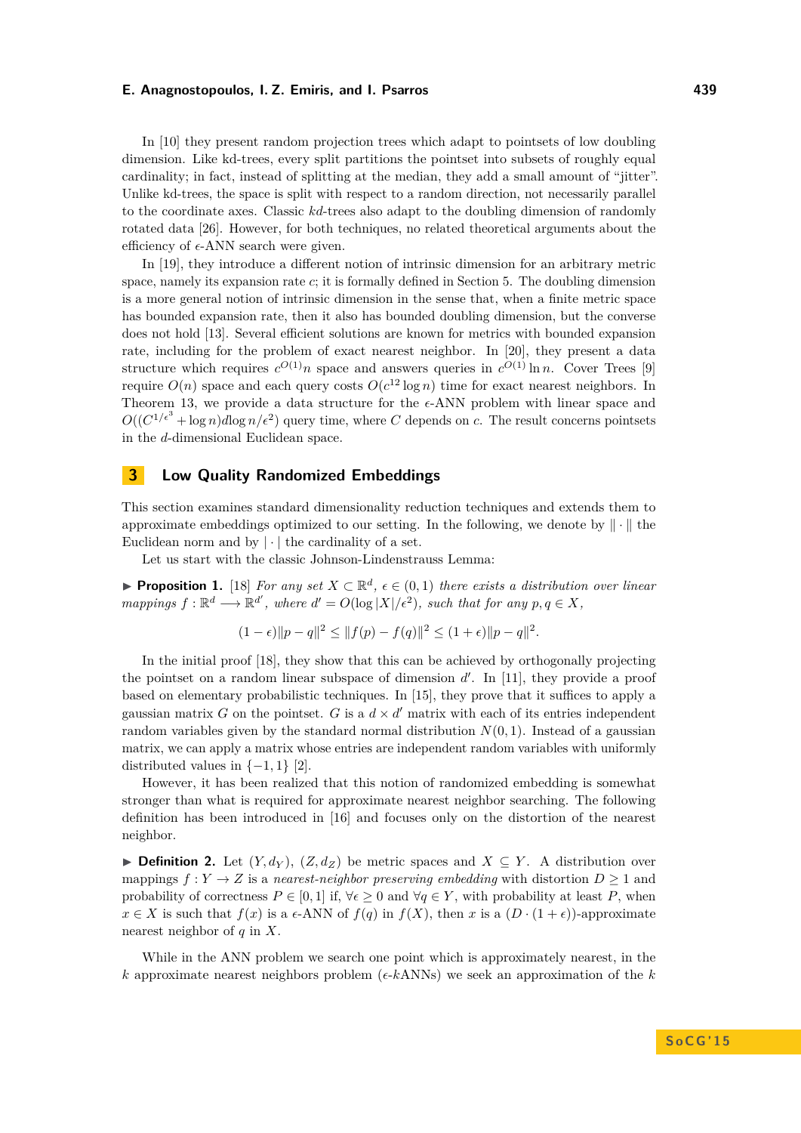In [\[10\]](#page-14-8) they present random projection trees which adapt to pointsets of low doubling dimension. Like kd-trees, every split partitions the pointset into subsets of roughly equal cardinality; in fact, instead of splitting at the median, they add a small amount of "jitter". Unlike kd-trees, the space is split with respect to a random direction, not necessarily parallel to the coordinate axes. Classic *kd*-trees also adapt to the doubling dimension of randomly rotated data [\[26\]](#page-14-9). However, for both techniques, no related theoretical arguments about the efficiency of  $\epsilon$ -ANN search were given.

In [\[19\]](#page-14-10), they introduce a different notion of intrinsic dimension for an arbitrary metric space, namely its expansion rate *c*; it is formally defined in Section [5.](#page-8-0) The doubling dimension is a more general notion of intrinsic dimension in the sense that, when a finite metric space has bounded expansion rate, then it also has bounded doubling dimension, but the converse does not hold [\[13\]](#page-14-11). Several efficient solutions are known for metrics with bounded expansion rate, including for the problem of exact nearest neighbor. In [\[20\]](#page-14-12), they present a data structure which requires  $c^{O(1)}n$  space and answers queries in  $c^{O(1)} \ln n$ . Cover Trees [\[9\]](#page-14-13) require  $O(n)$  space and each query costs  $O(c^{12} \log n)$  time for exact nearest neighbors. In Theorem [13,](#page-9-1) we provide a data structure for the  $\epsilon$ -ANN problem with linear space and  $O((C^{1/\epsilon^3} + \log n)d\log n/\epsilon^2)$  query time, where *C* depends on *c*. The result concerns pointsets in the *d*-dimensional Euclidean space.

# <span id="page-3-0"></span>**3 Low Quality Randomized Embeddings**

This section examines standard dimensionality reduction techniques and extends them to approximate embeddings optimized to our setting. In the following, we denote by  $\|\cdot\|$  the Euclidean norm and by  $|\cdot|$  the cardinality of a set.

Let us start with the classic Johnson-Lindenstrauss Lemma:

**Proposition 1.** [\[18\]](#page-14-14) *For any set*  $X \subset \mathbb{R}^d$ ,  $\epsilon \in (0,1)$  *there exists a distribution over linear mappings*  $f: \mathbb{R}^d \longrightarrow \mathbb{R}^{d'}$ , where  $d' = O(\log |X|/\epsilon^2)$ , such that for any  $p, q \in X$ ,

$$
(1 - \epsilon) \|p - q\|^2 \le \|f(p) - f(q)\|^2 \le (1 + \epsilon) \|p - q\|^2.
$$

In the initial proof [\[18\]](#page-14-14), they show that this can be achieved by orthogonally projecting the pointset on a random linear subspace of dimension  $d'$ . In [\[11\]](#page-14-15), they provide a proof based on elementary probabilistic techniques. In [\[15\]](#page-14-16), they prove that it suffices to apply a gaussian matrix *G* on the pointset. *G* is a  $d \times d'$  matrix with each of its entries independent random variables given by the standard normal distribution  $N(0, 1)$ . Instead of a gaussian matrix, we can apply a matrix whose entries are independent random variables with uniformly distributed values in  $\{-1, 1\}$  [\[2\]](#page-13-4).

However, it has been realized that this notion of randomized embedding is somewhat stronger than what is required for approximate nearest neighbor searching. The following definition has been introduced in [\[16\]](#page-14-7) and focuses only on the distortion of the nearest neighbor.

<span id="page-3-1"></span>▶ **Definition 2.** Let  $(Y, d_Y)$ ,  $(Z, d_Z)$  be metric spaces and  $X \subseteq Y$ . A distribution over mappings  $f: Y \to Z$  is a *nearest-neighbor preserving embedding* with distortion  $D \geq 1$  and probability of correctness  $P \in [0, 1]$  if,  $\forall \epsilon \geq 0$  and  $\forall q \in Y$ , with probability at least P, when  $x \in X$  is such that  $f(x)$  is a  $\epsilon$ -ANN of  $f(q)$  in  $f(X)$ , then *x* is a  $(D \cdot (1 + \epsilon))$ -approximate nearest neighbor of *q* in *X*.

While in the ANN problem we search one point which is approximately nearest, in the  $k$  approximate nearest neighbors problem ( $\epsilon$ - $k$ ANNs) we seek an approximation of the  $k$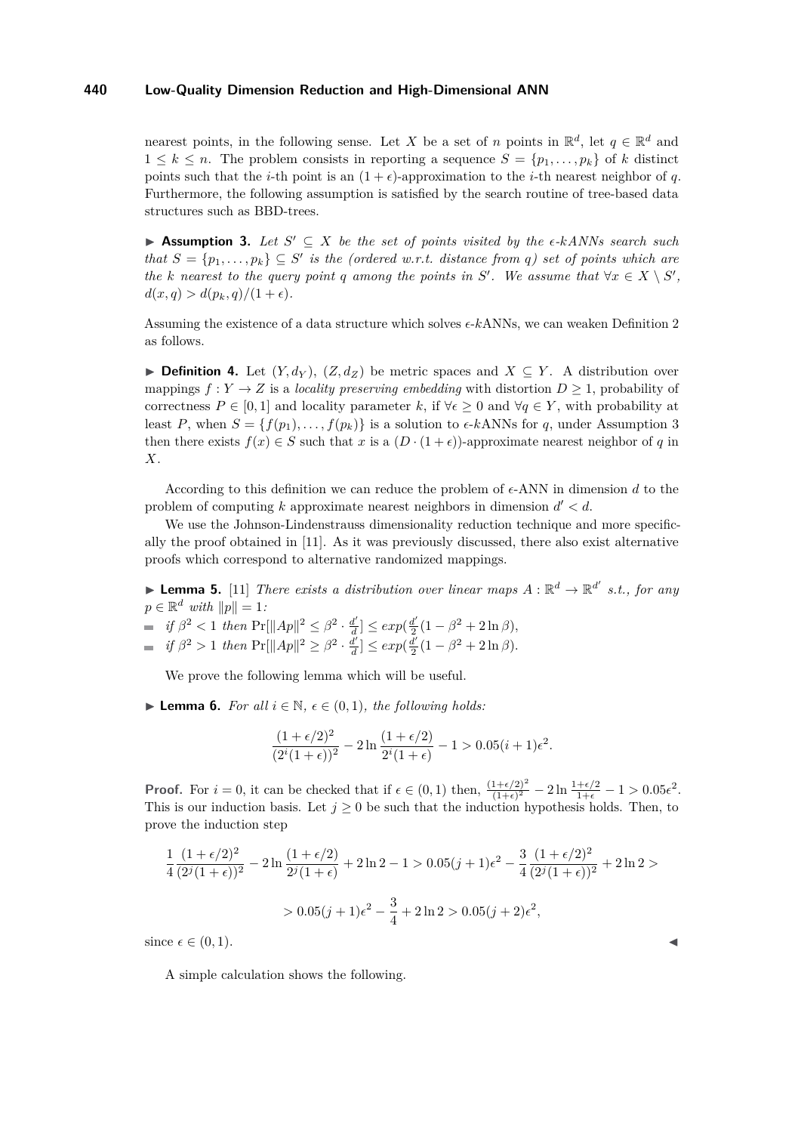nearest points, in the following sense. Let *X* be a set of *n* points in  $\mathbb{R}^d$ , let  $q \in \mathbb{R}^d$  and  $1 \leq k \leq n$ . The problem consists in reporting a sequence  $S = \{p_1, \ldots, p_k\}$  of *k* distinct points such that the *i*-th point is an  $(1 + \epsilon)$ -approximation to the *i*-th nearest neighbor of *q*. Furthermore, the following assumption is satisfied by the search routine of tree-based data structures such as BBD-trees.

<span id="page-4-0"></span>**► Assumption 3.** Let  $S' \subseteq X$  be the set of points visited by the  $\epsilon$ - $kANNs$  search such *that*  $S = \{p_1, \ldots, p_k\} \subseteq S'$  *is the (ordered w.r.t. distance from q) set of points which are the k* nearest to the query point *q* among the points in *S*<sup>*'*</sup>. We assume that  $\forall x \in X \setminus S'$ ,  $d(x,q) > d(p_k,q)/(1+\epsilon)$ .

Assuming the existence of a data structure which solves  $\epsilon$ - $k$ ANNs, we can weaken Definition [2](#page-3-1) as follows.

<span id="page-4-1"></span>▶ **Definition 4.** Let  $(Y, d_Y)$ ,  $(Z, d_Z)$  be metric spaces and  $X \subseteq Y$ . A distribution over mappings  $f: Y \to Z$  is a *locality preserving embedding* with distortion  $D \geq 1$ , probability of correctness  $P \in [0, 1]$  and locality parameter k, if  $\forall \epsilon \geq 0$  and  $\forall q \in Y$ , with probability at least *P*, when  $S = \{f(p_1), \ldots, f(p_k)\}\$ is a solution to  $\epsilon$ -kANNs for *q*, under Assumption [3](#page-4-0) then there exists  $f(x) \in S$  such that *x* is a  $(D \cdot (1 + \epsilon))$ -approximate nearest neighbor of *q* in *X*.

According to this definition we can reduce the problem of  $\epsilon$ -ANN in dimension d to the problem of computing  $k$  approximate nearest neighbors in dimension  $d' < d$ .

We use the Johnson-Lindenstrauss dimensionality reduction technique and more specifically the proof obtained in [\[11\]](#page-14-15). As it was previously discussed, there also exist alternative proofs which correspond to alternative randomized mappings.

<span id="page-4-2"></span>**Lemma 5.** [\[11\]](#page-14-15) *There exists a distribution over linear maps*  $A : \mathbb{R}^d \to \mathbb{R}^{d'}$  *s.t., for any*  $p \in \mathbb{R}^d$  *with*  $||p|| = 1$ *:* 

 $if \beta^2 < 1$  *then*  $Pr[||Ap||^2 \leq \beta^2 \cdot \frac{d^2}{d}$  $\frac{d'}{d}$ ]  $\leq exp(\frac{d'}{2})$  $\frac{d'}{2}(1-\beta^2+2\ln\beta),$ 

 $if \beta^2 > 1$  *then*  $\Pr[\|Ap\|^2 \geq \beta^2 \cdot \frac{d^2}{d}$  $\frac{d'}{d}$ ]  $\leq exp(\frac{d'}{2})$  $\frac{d'}{2}(1-\beta^2+2\ln\beta).$ 

We prove the following lemma which will be useful.

<span id="page-4-3"></span>▶ **Lemma 6.** *For all*  $i \in \mathbb{N}$ ,  $\epsilon \in (0,1)$ *, the following holds:* 

$$
\frac{(1+\epsilon/2)^2}{(2^i(1+\epsilon))^2} - 2\ln\frac{(1+\epsilon/2)}{2^i(1+\epsilon)} - 1 > 0.05(i+1)\epsilon^2.
$$

**Proof.** For  $i = 0$ , it can be checked that if  $\epsilon \in (0, 1)$  then,  $\frac{(1+\epsilon/2)^2}{(1+\epsilon)^2} - 2\ln \frac{1+\epsilon/2}{1+\epsilon} - 1 > 0.05\epsilon^2$ . This is our induction basis. Let  $j \geq 0$  be such that the induction hypothesis holds. Then, to prove the induction step

$$
\frac{1}{4} \frac{(1+\epsilon/2)^2}{(2^j(1+\epsilon))^2} - 2\ln\frac{(1+\epsilon/2)}{2^j(1+\epsilon)} + 2\ln 2 - 1 > 0.05(j+1)\epsilon^2 - \frac{3}{4} \frac{(1+\epsilon/2)^2}{(2^j(1+\epsilon))^2} + 2\ln 2 >
$$
  
> 0.05(j+1)\epsilon^2 - \frac{3}{4} + 2\ln 2 > 0.05(j+2)\epsilon^2,

since  $\epsilon \in (0, 1)$ .

A simple calculation shows the following.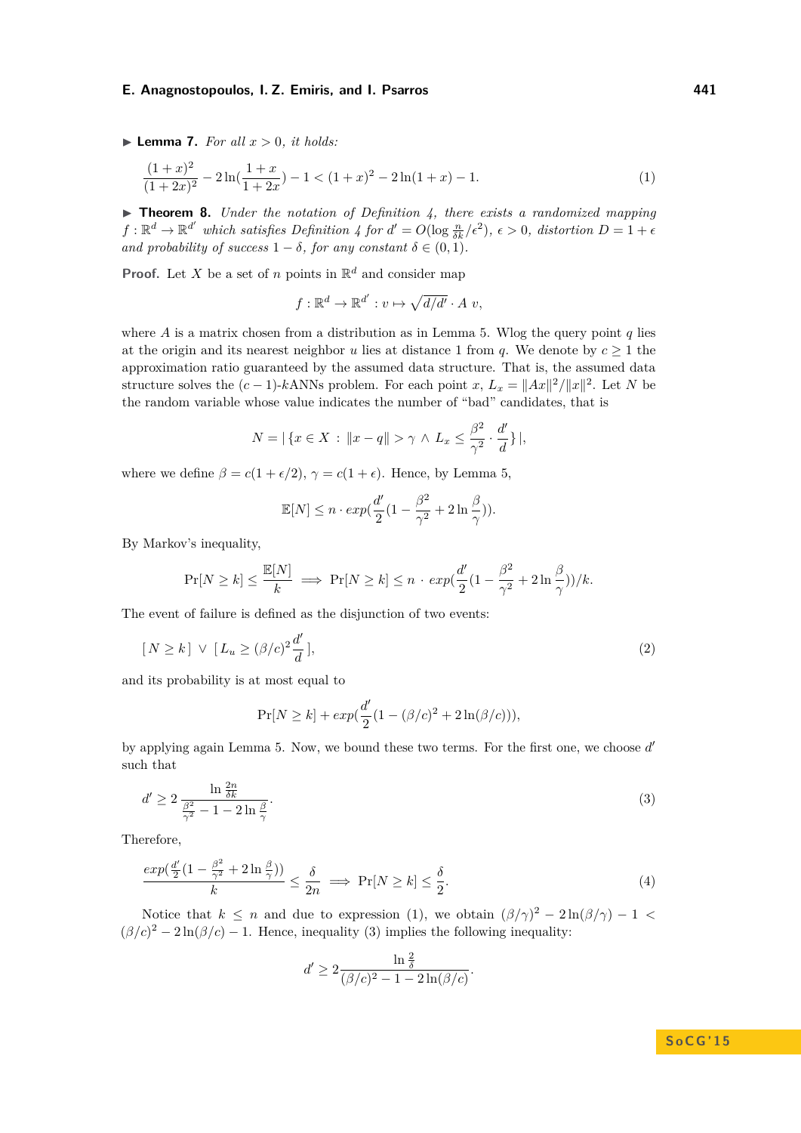$\blacktriangleright$  **Lemma 7.** *For all*  $x > 0$ *, it holds:* 

$$
\frac{(1+x)^2}{(1+2x)^2} - 2\ln(\frac{1+x}{1+2x}) - 1 < (1+x)^2 - 2\ln(1+x) - 1.\tag{1}
$$

<span id="page-5-4"></span>I **Theorem 8.** *Under the notation of Definition [4,](#page-4-1) there exists a randomized mapping*  $f: \mathbb{R}^d \to \mathbb{R}^{d'}$  which satisfies Definition [4](#page-4-1) for  $d' = O(\log \frac{n}{\delta k}/\epsilon^2)$ ,  $\epsilon > 0$ , distortion  $D = 1 + \epsilon$ *and probability of success*  $1 - \delta$ *, for any constant*  $\delta \in (0, 1)$ *.* 

**Proof.** Let *X* be a set of *n* points in  $\mathbb{R}^d$  and consider map

<span id="page-5-0"></span>
$$
f: \mathbb{R}^d \to \mathbb{R}^{d'} : v \mapsto \sqrt{d/d'} \cdot A v,
$$

where *A* is a matrix chosen from a distribution as in Lemma [5.](#page-4-2) Wlog the query point *q* lies at the origin and its nearest neighbor *u* lies at distance 1 from *q*. We denote by  $c > 1$  the approximation ratio guaranteed by the assumed data structure. That is, the assumed data structure solves the  $(c-1)$ -kANNs problem. For each point  $x, L_x = ||Ax||^2/||x||^2$ . Let *N* be the random variable whose value indicates the number of "bad" candidates, that is

$$
N = |\{x \in X : ||x - q|| > \gamma \land L_x \le \frac{\beta^2}{\gamma^2} \cdot \frac{d'}{d}\}|,
$$

where we define  $\beta = c(1 + \epsilon/2), \gamma = c(1 + \epsilon)$ . Hence, by Lemma [5,](#page-4-2)

<span id="page-5-2"></span>
$$
\mathbb{E}[N] \le n \cdot exp(\frac{d'}{2}(1 - \frac{\beta^2}{\gamma^2} + 2\ln\frac{\beta}{\gamma})).
$$

By Markov's inequality,

$$
\Pr[N \ge k] \le \frac{\mathbb{E}[N]}{k} \implies \Pr[N \ge k] \le n \cdot \exp(\frac{d'}{2}(1 - \frac{\beta^2}{\gamma^2} + 2\ln\frac{\beta}{\gamma}))/k.
$$

The event of failure is defined as the disjunction of two events:

$$
[N \ge k] \vee [L_u \ge (\beta/c)^2 \frac{d'}{d}], \qquad (2)
$$

and its probability is at most equal to

$$
Pr[N \ge k] + exp(\frac{d'}{2}(1 - (\beta/c)^{2} + 2\ln(\beta/c))),
$$

by applying again Lemma [5.](#page-4-2) Now, we bound these two terms. For the first one, we choose d' such that

<span id="page-5-1"></span>
$$
d' \ge 2 \frac{\ln \frac{2n}{\delta k}}{\frac{\beta^2}{\gamma^2} - 1 - 2 \ln \frac{\beta}{\gamma}}.\tag{3}
$$

Therefore,

<span id="page-5-3"></span>
$$
\frac{\exp(\frac{d'}{2}(1-\frac{\beta^2}{\gamma^2}+2\ln\frac{\beta}{\gamma}))}{k} \le \frac{\delta}{2n} \implies \Pr[N \ge k] \le \frac{\delta}{2}.\tag{4}
$$

Notice that  $k \leq n$  and due to expression [\(1\)](#page-5-0), we obtain  $(\beta/\gamma)^2 - 2\ln(\beta/\gamma) - 1$  $(\beta/c)^2 - 2\ln(\beta/c) - 1$ . Hence, inequality [\(3\)](#page-5-1) implies the following inequality:

$$
d' \ge 2 \frac{\ln \frac{2}{\delta}}{(\beta/c)^2 - 1 - 2\ln(\beta/c)}.
$$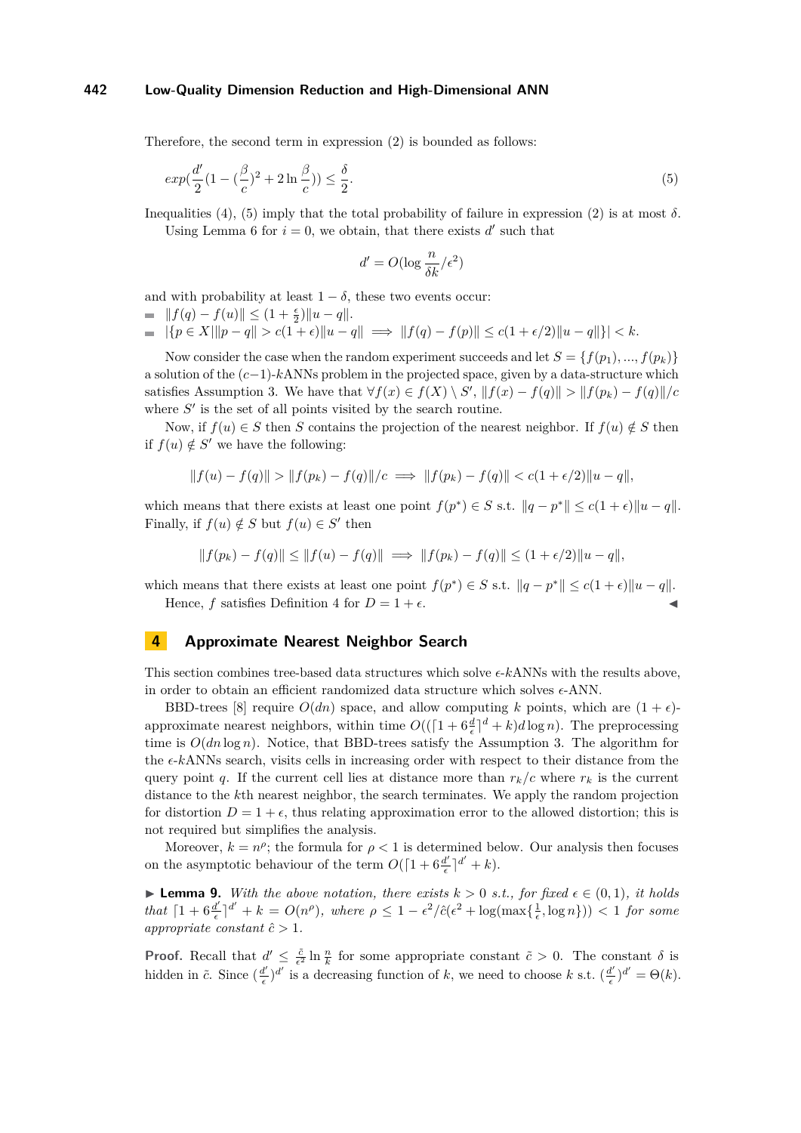Therefore, the second term in expression [\(2\)](#page-5-2) is bounded as follows:

$$
exp(\frac{d'}{2}(1 - (\frac{\beta}{c})^2 + 2\ln\frac{\beta}{c})) \le \frac{\delta}{2}.\tag{5}
$$

Inequalities [\(4\)](#page-5-3), [\(5\)](#page-6-1) imply that the total probability of failure in expression [\(2\)](#page-5-2) is at most *δ*. Using Lemma [6](#page-4-3) for  $i = 0$ , we obtain, that there exists  $d'$  such that

<span id="page-6-1"></span>
$$
d' = O(\log \frac{n}{\delta k}/\epsilon^2)
$$

and with probability at least  $1 - \delta$ , these two events occur:

- $|| f(q) f(u) || \leq (1 + \frac{\epsilon}{2}) ||u q||.$
- $|\{p \in X | \|p q\| > c(1 + \epsilon) \|u q\| \implies \|f(q) f(p)\| \le c(1 + \epsilon/2) \|u q\|\} < k.$

Now consider the case when the random experiment succeeds and let  $S = \{f(p_1), ..., f(p_k)\}$ a solution of the (*c*−1)-*k*ANNs problem in the projected space, given by a data-structure which satisfies Assumption [3.](#page-4-0) We have that  $\forall f(x) \in f(X) \setminus S'$ ,  $||f(x) - f(q)|| > ||f(p_k) - f(q)||/c$ where  $S'$  is the set of all points visited by the search routine.

Now, if  $f(u) \in S$  then *S* contains the projection of the nearest neighbor. If  $f(u) \notin S$  then if  $f(u) \notin S'$  we have the following:

$$
||f(u) - f(q)|| > ||f(p_k) - f(q)||/c \implies ||f(p_k) - f(q)|| < c(1 + \epsilon/2)||u - q||,
$$

which means that there exists at least one point  $f(p^*) \in S$  s.t.  $||q - p^*|| \leq c(1 + \epsilon) ||u - q||$ . Finally, if  $f(u) \notin S$  but  $f(u) \in S'$  then

$$
|| f(p_k) - f(q) || \le || f(u) - f(q) || \implies || f(p_k) - f(q) || \le (1 + \epsilon/2) || u - q ||,
$$

which means that there exists at least one point  $f(p^*) \in S$  s.t.  $||q - p^*|| \leq c(1 + \epsilon) ||u - q||$ . Hence, *f* satisfies Definition [4](#page-4-1) for  $D = 1 + \epsilon$ .

## <span id="page-6-0"></span>**4 Approximate Nearest Neighbor Search**

This section combines tree-based data structures which solve  $\epsilon$ - $k$ ANNs with the results above, in order to obtain an efficient randomized data structure which solves  $\epsilon$ -ANN.

BBD-trees [\[8\]](#page-14-3) require  $O(dn)$  space, and allow computing k points, which are  $(1 + \epsilon)$ approximate nearest neighbors, within time  $O((\lceil 1 + 6\frac{d}{\epsilon}\rceil^d + k)d\log n)$ . The preprocessing time is  $O(dn \log n)$ . Notice, that BBD-trees satisfy the Assumption [3.](#page-4-0) The algorithm for the  $\epsilon$ - $k$ ANNs search, visits cells in increasing order with respect to their distance from the query point *q*. If the current cell lies at distance more than  $r_k/c$  where  $r_k$  is the current distance to the *k*th nearest neighbor, the search terminates. We apply the random projection for distortion  $D = 1 + \epsilon$ , thus relating approximation error to the allowed distortion; this is not required but simplifies the analysis.

Moreover,  $k = n^{\rho}$ ; the formula for  $\rho < 1$  is determined below. Our analysis then focuses on the asymptotic behaviour of the term  $O([1 + 6\frac{d'}{\epsilon})$  $\frac{d'}{\epsilon}$ <sup> $\left|$ </sup><sup> $d'$ </sup> +  $k$ ).

<span id="page-6-2"></span>▶ **Lemma 9.** *With the above notation, there exists*  $k > 0$  *s.t., for fixed*  $\epsilon \in (0,1)$ *, it holds that*  $\left[1 + 6 \frac{d'}{6}\right]$  $\frac{d}{\epsilon}$ <sup>*d*</sup> + *k* =  $O(n^{\rho})$ , where  $\rho \leq 1 - \epsilon^2/\hat{c}(\epsilon^2 + \log(\max\{\frac{1}{\epsilon}, \log n\})) < 1$  for some *appropriate constant*  $\hat{c} > 1$ *.* 

**Proof.** Recall that  $d' \leq \frac{\tilde{c}}{\epsilon^2} \ln \frac{n}{k}$  for some appropriate constant  $\tilde{c} > 0$ . The constant  $\delta$  is hidden in  $\tilde{c}$ . Since  $\left(\frac{d'}{d}\right)$  $\frac{d}{\epsilon}$ )<sup>*d'*</sup> is a decreasing function of *k*, we need to choose *k* s.t. ( $\frac{d}{\epsilon}$  $\frac{d'}{\epsilon}$ <sup> $)d' = \Theta(k)$ .</sup>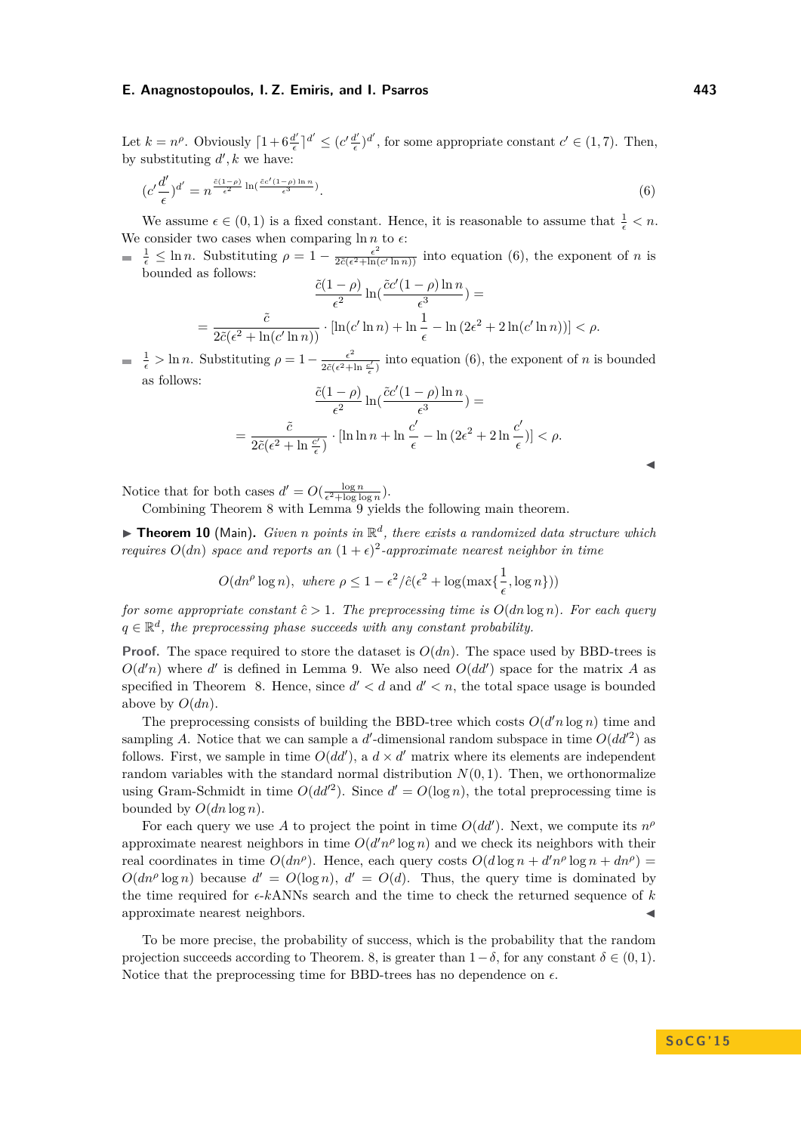J

Let  $k = n^{\rho}$ . Obviously  $\left[1 + 6 \frac{d^{\prime}}{\epsilon}\right]$  $\frac{d'}{\epsilon}$ <sup> $\vert d' \leq \left(c'\frac{d'}{\epsilon}\right)$ </sup>  $\frac{d'}{\epsilon}$ , for some appropriate constant  $c' \in (1, 7)$ . Then, by substituting  $d', k$  we have:

<span id="page-7-1"></span>
$$
(c'\frac{d'}{\epsilon})^{d'} = n^{\frac{\tilde{c}(1-\rho)}{\epsilon^2} \ln(\frac{\tilde{c}c'(1-\rho)\ln n}{\epsilon^3})}.
$$
\n
$$
(6)
$$

We assume  $\epsilon \in (0,1)$  is a fixed constant. Hence, it is reasonable to assume that  $\frac{1}{\epsilon} < n$ . We consider two cases when comparing  $\ln n$  to  $\epsilon$ :

 $\frac{1}{\epsilon} \leq \ln n$ . Substituting  $\rho = 1 - \frac{\epsilon^2}{2\tilde{c}(\epsilon^2 + \ln n)}$  $\frac{\epsilon^2}{2\tilde{c}(\epsilon^2+\ln(c'\ln n))}$  into equation [\(6\)](#page-7-1), the exponent of *n* is bounded as follows:

$$
\frac{\tilde{c}(1-\rho)}{\epsilon^2} \ln\left(\frac{\tilde{c}c'(1-\rho)\ln n}{\epsilon^3}\right) =
$$
\n
$$
= \frac{\tilde{c}}{2\tilde{c}(\epsilon^2 + \ln(c'\ln n))} \cdot \left[\ln(c'\ln n) + \ln\frac{1}{\epsilon} - \ln\left(2\epsilon^2 + 2\ln(c'\ln n)\right)\right] < \rho.
$$

 $\frac{1}{\epsilon} > \ln n$ . Substituting  $\rho = 1 - \frac{\epsilon^2}{2\tilde{c}(\epsilon^2 + 1)}$  $\frac{\epsilon^2}{2\tilde{c}(\epsilon^2+\ln\frac{c'}{\epsilon})}$  into equation [\(6\)](#page-7-1), the exponent of *n* is bounded as follows:

$$
\frac{\tilde{c}(1-\rho)}{\epsilon^2} \ln(\frac{\tilde{c}c'(1-\rho)\ln n}{\epsilon^3}) =
$$
  
= 
$$
\frac{\tilde{c}}{2\tilde{c}(\epsilon^2 + \ln\frac{c'}{\epsilon})} \cdot [\ln\ln n + \ln\frac{c'}{\epsilon} - \ln(2\epsilon^2 + 2\ln\frac{c'}{\epsilon})] < \rho.
$$

Notice that for both cases  $d' = O(\frac{\log n}{\epsilon^2 + \log \log n})$ .

Combining Theorem [8](#page-5-4) with Lemma [9](#page-6-2) yields the following main theorem.

<span id="page-7-0"></span>**Theorem 10** (Main). *Given n* points in  $\mathbb{R}^d$ , there exists a randomized data structure which *requires*  $O(dn)$  *space and reports an*  $(1+\epsilon)^2$ -*approximate nearest neighbor in time* 

$$
O(dn^{\rho} \log n), \text{ where } \rho \leq 1 - \epsilon^2/\hat{c}(\epsilon^2 + \log(\max{\frac{1}{\epsilon}, \log n}) )
$$

*for some appropriate constant*  $\hat{c} > 1$ *. The preprocessing time is*  $O(dn \log n)$ *. For each query*  $q \in \mathbb{R}^d$ , the preprocessing phase succeeds with any constant probability.

**Proof.** The space required to store the dataset is  $O(dn)$ . The space used by BBD-trees is  $O(d'n)$  where *d'* is defined in Lemma [9.](#page-6-2) We also need  $O(dd')$  space for the matrix *A* as specified in Theorem [8.](#page-5-4) Hence, since  $d' < d$  and  $d' < n$ , the total space usage is bounded above by  $O(dn)$ .

The preprocessing consists of building the BBD-tree which costs  $O(d'n \log n)$  time and sampling A. Notice that we can sample a  $d'$ -dimensional random subspace in time  $O(dd^2)$  as follows. First, we sample in time  $O(dd')$ , a  $d \times d'$  matrix where its elements are independent random variables with the standard normal distribution  $N(0, 1)$ . Then, we orthonormalize using Gram-Schmidt in time  $O(dd^2)$ . Since  $d' = O(\log n)$ , the total preprocessing time is bounded by  $O(dn \log n)$ .

For each query we use A to project the point in time  $O(dd')$ . Next, we compute its  $n^{\rho}$ approximate nearest neighbors in time  $O(d'n^{\rho} \log n)$  and we check its neighbors with their real coordinates in time  $O(dn^{\rho})$ . Hence, each query costs  $O(d \log n + d^n \rho \log n + dn^{\rho}) =$  $O(dn^{\rho} \log n)$  because  $d' = O(\log n)$ ,  $d' = O(d)$ . Thus, the query time is dominated by the time required for  $\epsilon$ - $k$ ANNs search and the time to check the returned sequence of  $k$ approximate nearest neighbors.

To be more precise, the probability of success, which is the probability that the random projection succeeds according to Theorem. [8,](#page-5-4) is greater than  $1-\delta$ , for any constant  $\delta \in (0,1)$ *.* Notice that the preprocessing time for BBD-trees has no dependence on  $\epsilon$ .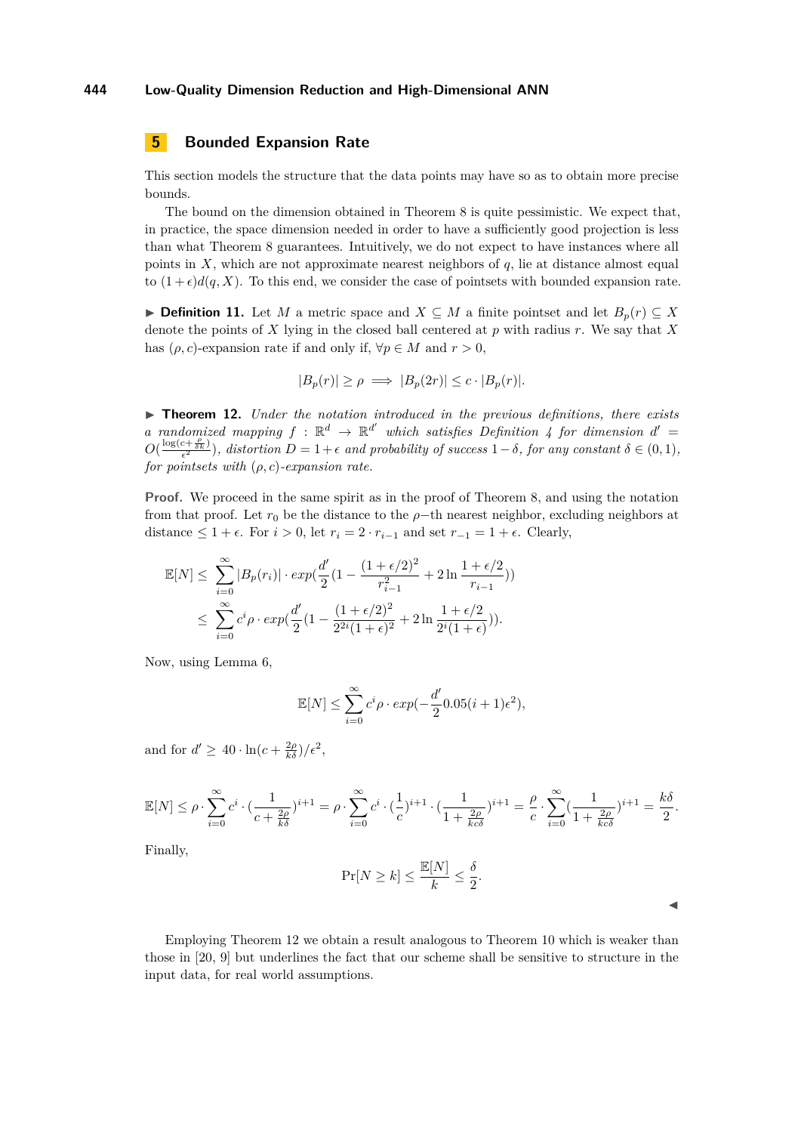# <span id="page-8-0"></span>**5 Bounded Expansion Rate**

This section models the structure that the data points may have so as to obtain more precise bounds.

The bound on the dimension obtained in Theorem [8](#page-5-4) is quite pessimistic. We expect that, in practice, the space dimension needed in order to have a sufficiently good projection is less than what Theorem [8](#page-5-4) guarantees. Intuitively, we do not expect to have instances where all points in *X*, which are not approximate nearest neighbors of *q*, lie at distance almost equal to  $(1 + \epsilon)d(q, X)$ . To this end, we consider the case of pointsets with bounded expansion rate.

▶ **Definition 11.** Let *M* a metric space and  $X \subseteq M$  a finite pointset and let  $B_p(r) \subseteq X$ denote the points of *X* lying in the closed ball centered at *p* with radius *r*. We say that *X* has  $(\rho, c)$ -expansion rate if and only if,  $\forall p \in M$  and  $r > 0$ ,

$$
|B_p(r)| \ge \rho \implies |B_p(2r)| \le c \cdot |B_p(r)|.
$$

<span id="page-8-1"></span>I **Theorem 12.** *Under the notation introduced in the previous definitions, there exists a* randomized mapping  $f : \mathbb{R}^d \to \mathbb{R}^{d'}$  which satisfies Definition [4](#page-4-1) for dimension  $d' =$  $O(\frac{\log(c+\frac{\rho}{\epsilon^2})}{\epsilon^2})$ , distortion  $D = 1 + \epsilon$  and probability of success  $1 - \delta$ , for any constant  $\delta \in (0,1)$ , *for pointsets with* (*ρ, c*)*-expansion rate.*

**Proof.** We proceed in the same spirit as in the proof of Theorem [8,](#page-5-4) and using the notation from that proof. Let  $r_0$  be the distance to the  $\rho$ −th nearest neighbor, excluding neighbors at distance  $\leq 1 + \epsilon$ . For  $i > 0$ , let  $r_i = 2 \cdot r_{i-1}$  and set  $r_{-1} = 1 + \epsilon$ . Clearly,

$$
\mathbb{E}[N] \leq \sum_{i=0}^{\infty} |B_p(r_i)| \cdot exp(\frac{d'}{2} \left(1 - \frac{(1 + \epsilon/2)^2}{r_{i-1}^2} + 2\ln\frac{1 + \epsilon/2}{r_{i-1}})\right))
$$
  

$$
\leq \sum_{i=0}^{\infty} c^i \rho \cdot exp(\frac{d'}{2} \left(1 - \frac{(1 + \epsilon/2)^2}{2^{2i}(1 + \epsilon)^2} + 2\ln\frac{1 + \epsilon/2}{2^i(1 + \epsilon)}\right)).
$$

Now, using Lemma [6,](#page-4-3)

$$
\mathbb{E}[N] \le \sum_{i=0}^{\infty} c^i \rho \cdot exp(-\frac{d'}{2} 0.05(i+1)\epsilon^2),
$$

and for  $d' \geq 40 \cdot \ln(c + \frac{2\rho}{k\delta})/\epsilon^2$ ,

$$
\mathbb{E}[N] \leq \rho \cdot \sum_{i=0}^{\infty} c^i \cdot \left(\frac{1}{c + \frac{2\rho}{k\delta}}\right)^{i+1} = \rho \cdot \sum_{i=0}^{\infty} c^i \cdot \left(\frac{1}{c}\right)^{i+1} \cdot \left(\frac{1}{1 + \frac{2\rho}{k c \delta}}\right)^{i+1} = \frac{\rho}{c} \cdot \sum_{i=0}^{\infty} \left(\frac{1}{1 + \frac{2\rho}{k c \delta}}\right)^{i+1} = \frac{k\delta}{2}.
$$

Finally,

$$
\Pr[N \ge k] \le \frac{\mathbb{E}[N]}{k} \le \frac{\delta}{2}.
$$

J

Employing Theorem [12](#page-8-1) we obtain a result analogous to Theorem [10](#page-7-0) which is weaker than those in [\[20,](#page-14-12) [9\]](#page-14-13) but underlines the fact that our scheme shall be sensitive to structure in the input data, for real world assumptions.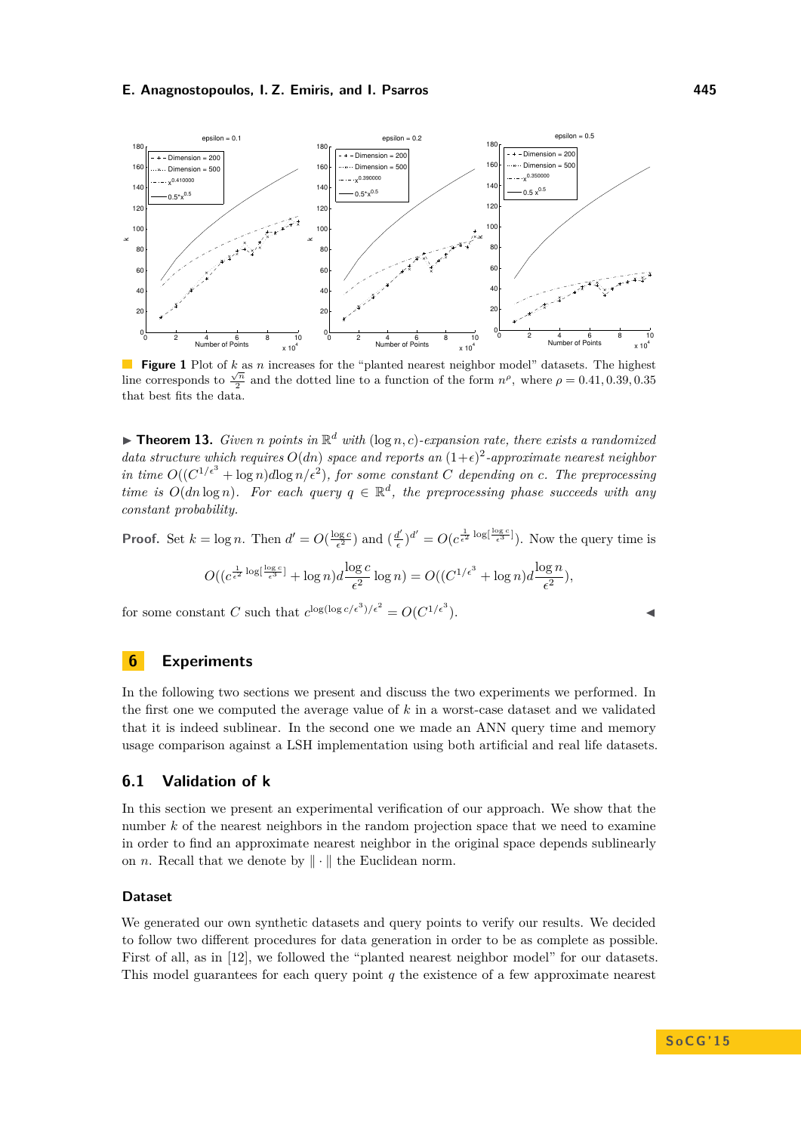<span id="page-9-2"></span>

**Figure 1** Plot of *k* as *n* increases for the "planted nearest neighbor model" datasets. The highest line corresponds to  $\frac{\sqrt{n}}{2}$  and the dotted line to a function of the form  $n^{\rho}$ , where  $\rho = 0.41, 0.39, 0.35$ that best fits the data.

<span id="page-9-1"></span>**Theorem 13.** *Given n* points in  $\mathbb{R}^d$  with  $(\log n, c)$ -expansion rate, there exists a randomized *data structure which requires*  $O(dn)$  *space and reports an*  $(1+\epsilon)^2$ -approximate nearest neighbor *in time*  $O((C^{1/\epsilon^3} + \log n)d\log n/\epsilon^2)$ , for some constant C depending on c. The preprocessing *time is*  $O(dn \log n)$ *. For each query*  $q \in \mathbb{R}^d$ , the preprocessing phase succeeds with any *constant probability.*

**Proof.** Set  $k = \log n$ . Then  $d' = O(\frac{\log c}{\epsilon^2})$  and  $\left(\frac{d'}{\epsilon}\right)$  $\frac{d}{\epsilon}$ )<sup>*d'*</sup> =  $O(c^{\frac{1}{\epsilon^2} \log \left[\frac{\log c}{\epsilon^3}\right]}).$  Now the query time is

$$
O((c^{\frac{1}{\epsilon^2}\log[\frac{\log c}{\epsilon^3}]}+\log n)d\frac{\log c}{\epsilon^2}\log n)=O((C^{1/\epsilon^3}+\log n)d\frac{\log n}{\epsilon^2}),
$$

for some constant *C* such that  $c^{\log(\log c/\epsilon^3)/\epsilon^2} = O(C^{1/\epsilon^3})$  $\blacksquare$ ).

## <span id="page-9-0"></span>**6 Experiments**

In the following two sections we present and discuss the two experiments we performed. In the first one we computed the average value of *k* in a worst-case dataset and we validated that it is indeed sublinear. In the second one we made an ANN query time and memory usage comparison against a LSH implementation using both artificial and real life datasets.

## **6.1 Validation of k**

In this section we present an experimental verification of our approach. We show that the number k of the nearest neighbors in the random projection space that we need to examine in order to find an approximate nearest neighbor in the original space depends sublinearly on *n*. Recall that we denote by  $\|\cdot\|$  the Euclidean norm.

## **Dataset**

We generated our own synthetic datasets and query points to verify our results. We decided to follow two different procedures for data generation in order to be as complete as possible. First of all, as in [\[12\]](#page-14-17), we followed the "planted nearest neighbor model" for our datasets. This model guarantees for each query point *q* the existence of a few approximate nearest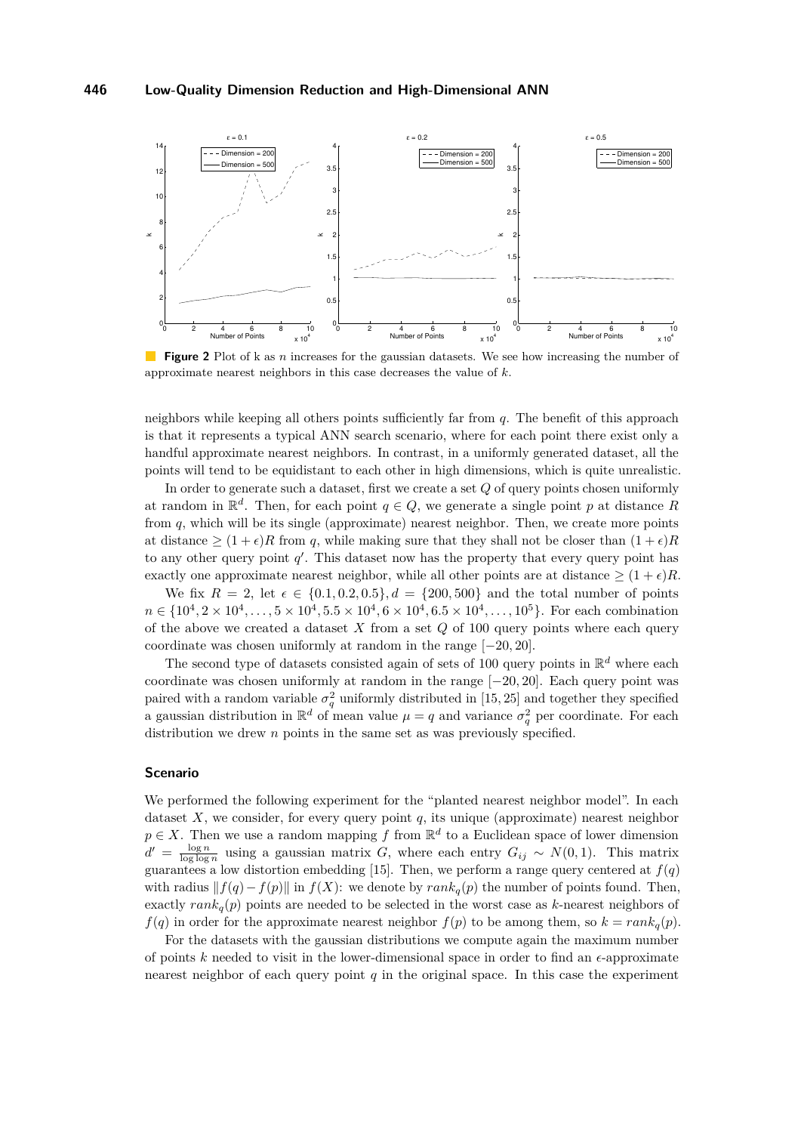<span id="page-10-0"></span>

**Figure 2** Plot of k as *n* increases for the gaussian datasets. We see how increasing the number of approximate nearest neighbors in this case decreases the value of *k*.

neighbors while keeping all others points sufficiently far from *q*. The benefit of this approach is that it represents a typical ANN search scenario, where for each point there exist only a handful approximate nearest neighbors. In contrast, in a uniformly generated dataset, all the points will tend to be equidistant to each other in high dimensions, which is quite unrealistic.

In order to generate such a dataset, first we create a set *Q* of query points chosen uniformly at random in  $\mathbb{R}^d$ . Then, for each point  $q \in Q$ , we generate a single point p at distance R from *q*, which will be its single (approximate) nearest neighbor. Then, we create more points at distance  $\geq (1 + \epsilon)R$  from q, while making sure that they shall not be closer than  $(1 + \epsilon)R$ to any other query point  $q'$ . This dataset now has the property that every query point has exactly one approximate nearest neighbor, while all other points are at distance  $\geq (1 + \epsilon)R$ .

We fix  $R = 2$ , let  $\epsilon \in \{0.1, 0.2, 0.5\}, d = \{200, 500\}$  and the total number of points  $n \in \{10^4, 2 \times 10^4, \ldots, 5 \times 10^4, 5.5 \times 10^4, 6 \times 10^4, 6.5 \times 10^4, \ldots, 10^5\}$ . For each combination of the above we created a dataset *X* from a set *Q* of 100 query points where each query coordinate was chosen uniformly at random in the range [−20*,* 20].

The second type of datasets consisted again of sets of 100 query points in  $\mathbb{R}^d$  where each coordinate was chosen uniformly at random in the range [−20*,* 20]. Each query point was paired with a random variable  $\sigma_q^2$  uniformly distributed in [15, 25] and together they specified a gaussian distribution in  $\mathbb{R}^d$  of mean value  $\mu = q$  and variance  $\sigma_q^2$  per coordinate. For each distribution we drew *n* points in the same set as was previously specified.

## **Scenario**

We performed the following experiment for the "planted nearest neighbor model". In each dataset  $X$ , we consider, for every query point  $q$ , its unique (approximate) nearest neighbor  $p \in X$ . Then we use a random mapping f from  $\mathbb{R}^d$  to a Euclidean space of lower dimension  $d' = \frac{\log n}{\log \log n}$  using a gaussian matrix *G*, where each entry  $G_{ij} \sim N(0, 1)$ . This matrix guarantees a low distortion embedding [\[15\]](#page-14-16). Then, we perform a range query centered at  $f(q)$ with radius  $|| f(q) - f(p) ||$  in  $f(X)$ : we denote by  $rank_q(p)$  the number of points found. Then, exactly  $rank_q(p)$  points are needed to be selected in the worst case as *k*-nearest neighbors of *f*(*q*) in order for the approximate nearest neighbor  $f(p)$  to be among them, so  $k = rank_q(p)$ .

For the datasets with the gaussian distributions we compute again the maximum number of points  $k$  needed to visit in the lower-dimensional space in order to find an  $\epsilon$ -approximate nearest neighbor of each query point  $q$  in the original space. In this case the experiment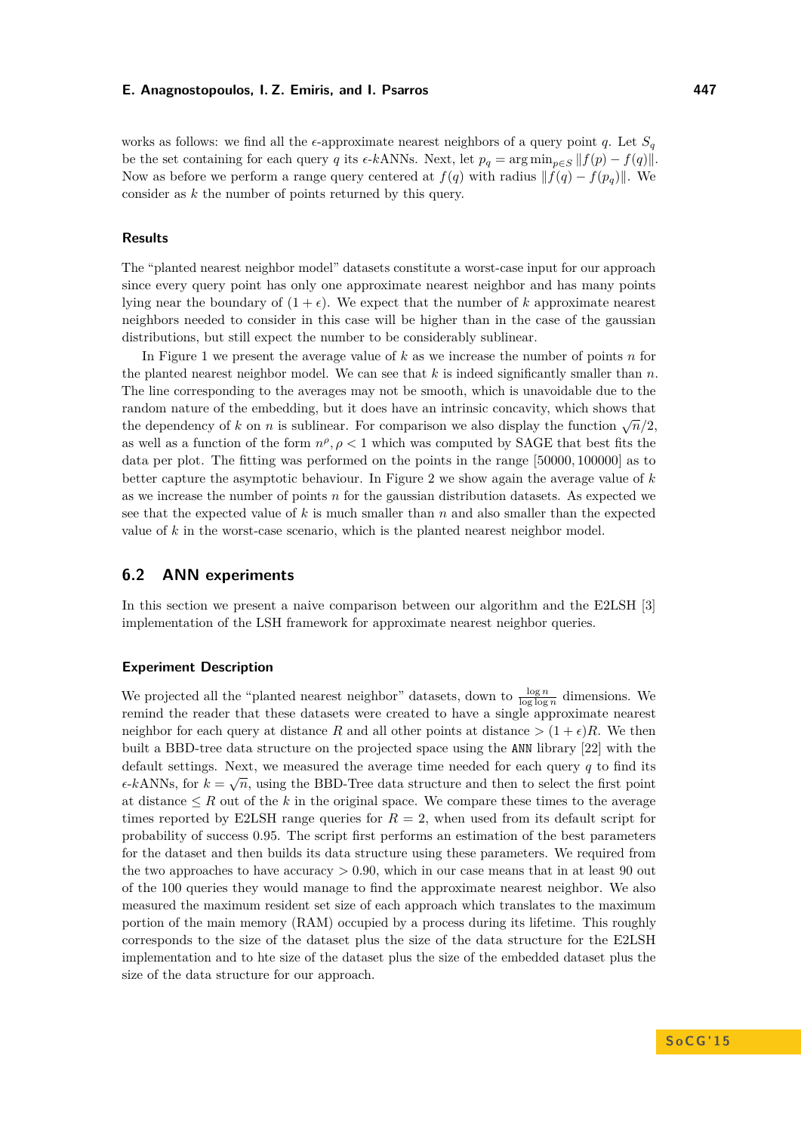works as follows: we find all the  $\epsilon$ -approximate nearest neighbors of a query point *q*. Let  $S_q$ be the set containing for each query *q* its  $\epsilon$ - $k$ ANNs. Next, let  $p_q = \arg \min_{p \in S} ||f(p) - f(q)||$ . Now as before we perform a range query centered at  $f(q)$  with radius  $|| f(q) - f(p_q) ||$ . We consider as *k* the number of points returned by this query.

## **Results**

The "planted nearest neighbor model" datasets constitute a worst-case input for our approach since every query point has only one approximate nearest neighbor and has many points lying near the boundary of  $(1 + \epsilon)$ . We expect that the number of *k* approximate nearest neighbors needed to consider in this case will be higher than in the case of the gaussian distributions, but still expect the number to be considerably sublinear.

In Figure [1](#page-9-2) we present the average value of *k* as we increase the number of points *n* for the planted nearest neighbor model. We can see that  $k$  is indeed significantly smaller than  $n$ . The line corresponding to the averages may not be smooth, which is unavoidable due to the random nature of the embedding, but it does have an intrinsic concavity, which shows that the dependency of *k* on *n* is sublinear. For comparison we also display the function  $\sqrt{n}/2$ , as well as a function of the form  $n^{\rho}$ ,  $\rho < 1$  which was computed by SAGE that best fits the data per plot. The fitting was performed on the points in the range [50000*,* 100000] as to better capture the asymptotic behaviour. In Figure [2](#page-10-0) we show again the average value of *k* as we increase the number of points *n* for the gaussian distribution datasets. As expected we see that the expected value of *k* is much smaller than *n* and also smaller than the expected value of *k* in the worst-case scenario, which is the planted nearest neighbor model.

## **6.2 ANN experiments**

In this section we present a naive comparison between our algorithm and the E2LSH [\[3\]](#page-13-5) implementation of the LSH framework for approximate nearest neighbor queries.

## **Experiment Description**

We projected all the "planted nearest neighbor" datasets, down to  $\frac{\log n}{\log \log n}$  dimensions. We remind the reader that these datasets were created to have a single approximate nearest neighbor for each query at distance *R* and all other points at distance  $>(1 + \epsilon)R$ . We then built a BBD-tree data structure on the projected space using the ANN library [\[22\]](#page-14-18) with the default settings. Next, we measured the average time needed for each query *q* to find its<br>∧∧NN ∴ ∴ ∴ ∴ ∴ ∑ DDD T  $\epsilon$ -kANNs, for  $k = \sqrt{n}$ , using the BBD-Tree data structure and then to select the first point at distance  $\leq R$  out of the *k* in the original space. We compare these times to the average times reported by E2LSH range queries for  $R = 2$ , when used from its default script for probability of success 0*.*95. The script first performs an estimation of the best parameters for the dataset and then builds its data structure using these parameters. We required from the two approaches to have accuracy *>* 0*.*90, which in our case means that in at least 90 out of the 100 queries they would manage to find the approximate nearest neighbor. We also measured the maximum resident set size of each approach which translates to the maximum portion of the main memory (RAM) occupied by a process during its lifetime. This roughly corresponds to the size of the dataset plus the size of the data structure for the E2LSH implementation and to hte size of the dataset plus the size of the embedded dataset plus the size of the data structure for our approach.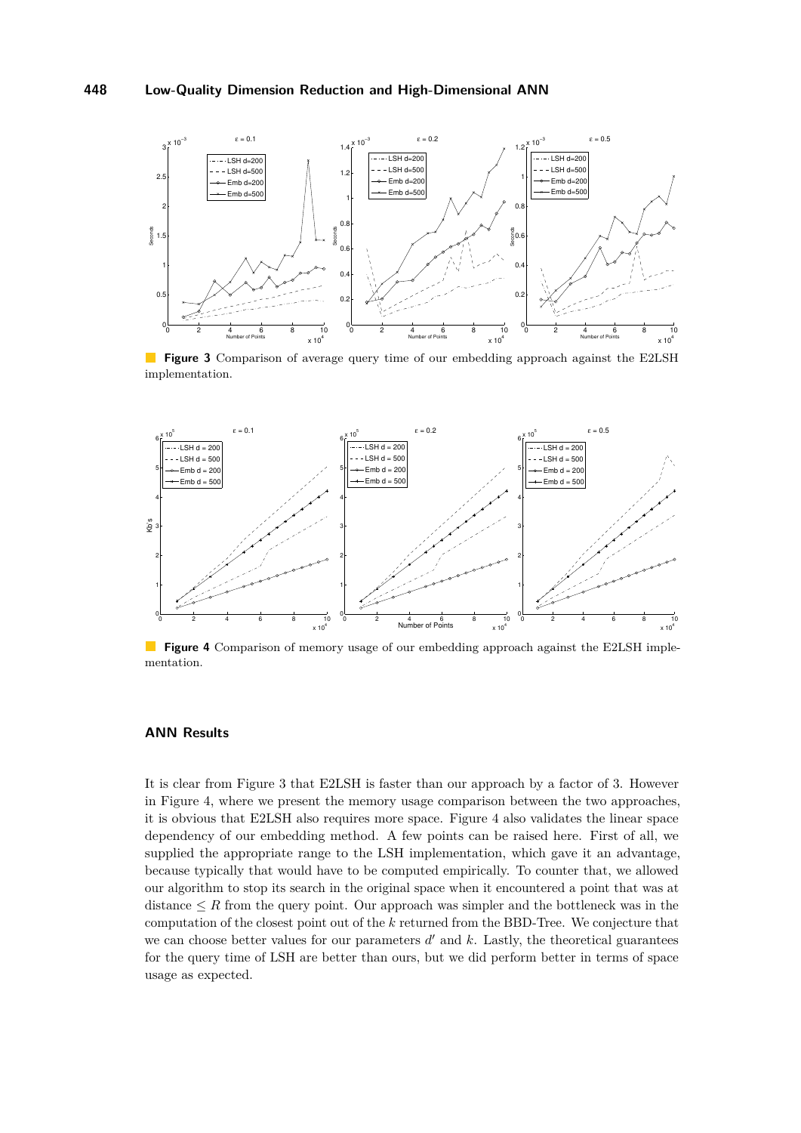<span id="page-12-0"></span>

**Figure 3** Comparison of average query time of our embedding approach against the E2LSH implementation.

<span id="page-12-1"></span>

**Figure 4** Comparison of memory usage of our embedding approach against the E2LSH implementation.

## **ANN Results**

It is clear from Figure [3](#page-12-0) that E2LSH is faster than our approach by a factor of 3. However in Figure [4,](#page-12-1) where we present the memory usage comparison between the two approaches, it is obvious that E2LSH also requires more space. Figure [4](#page-12-1) also validates the linear space dependency of our embedding method. A few points can be raised here. First of all, we supplied the appropriate range to the LSH implementation, which gave it an advantage, because typically that would have to be computed empirically. To counter that, we allowed our algorithm to stop its search in the original space when it encountered a point that was at distance  $\leq R$  from the query point. Our approach was simpler and the bottleneck was in the computation of the closest point out of the *k* returned from the BBD-Tree. We conjecture that we can choose better values for our parameters  $d'$  and  $k$ . Lastly, the theoretical guarantees for the query time of LSH are better than ours, but we did perform better in terms of space usage as expected.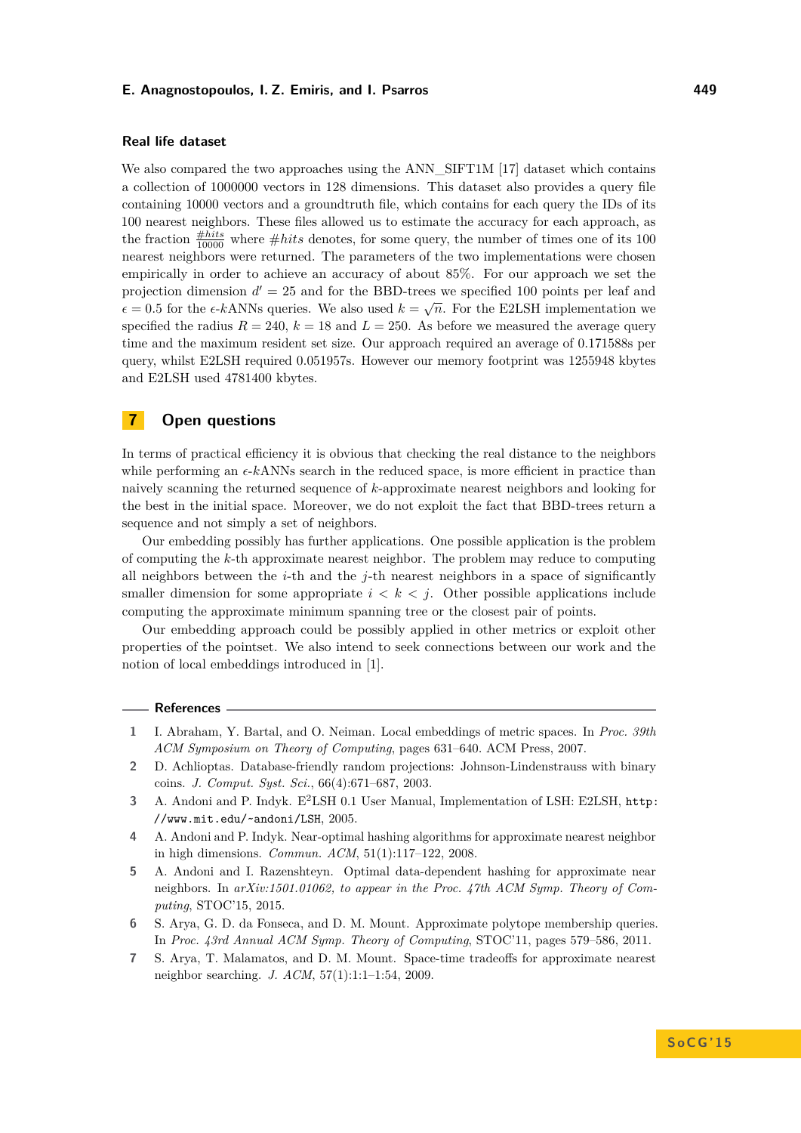## **Real life dataset**

We also compared the two approaches using the ANN\_SIFT1M [\[17\]](#page-14-19) dataset which contains a collection of 1000000 vectors in 128 dimensions. This dataset also provides a query file containing 10000 vectors and a groundtruth file, which contains for each query the IDs of its 100 nearest neighbors. These files allowed us to estimate the accuracy for each approach, as the fraction  $\frac{\text{#hits}}{10000}$  where  $\text{#hits}$  denotes, for some query, the number of times one of its 100 nearest neighbors were returned. The parameters of the two implementations were chosen empirically in order to achieve an accuracy of about 85%. For our approach we set the projection dimension  $d' = 25$  and for the BBD-trees we specified 100 points per leaf and  $\epsilon = 0.5$  for the  $\epsilon$ -*k*ANNs queries. We also used  $k = \sqrt{n}$ . For the E2LSH implementation we specified the radius  $R = 240, k = 18$  and  $L = 250$ . As before we measured the average query time and the maximum resident set size. Our approach required an average of 0*.*171588s per query, whilst E2LSH required 0*.*051957s. However our memory footprint was 1255948 kbytes and E2LSH used 4781400 kbytes.

# **7 Open questions**

In terms of practical efficiency it is obvious that checking the real distance to the neighbors while performing an  $\epsilon$ -kANNs search in the reduced space, is more efficient in practice than naively scanning the returned sequence of *k*-approximate nearest neighbors and looking for the best in the initial space. Moreover, we do not exploit the fact that BBD-trees return a sequence and not simply a set of neighbors.

Our embedding possibly has further applications. One possible application is the problem of computing the *k*-th approximate nearest neighbor. The problem may reduce to computing all neighbors between the *i*-th and the *j*-th nearest neighbors in a space of significantly smaller dimension for some appropriate  $i < k < j$ . Other possible applications include computing the approximate minimum spanning tree or the closest pair of points.

Our embedding approach could be possibly applied in other metrics or exploit other properties of the pointset. We also intend to seek connections between our work and the notion of local embeddings introduced in [\[1\]](#page-13-6).

#### **References**

- <span id="page-13-6"></span>**1** I. Abraham, Y. Bartal, and O. Neiman. Local embeddings of metric spaces. In *Proc. 39th ACM Symposium on Theory of Computing*, pages 631–640. ACM Press, 2007.
- <span id="page-13-4"></span>**2** D. Achlioptas. Database-friendly random projections: Johnson-Lindenstrauss with binary coins. *J. Comput. Syst. Sci.*, 66(4):671–687, 2003.
- <span id="page-13-5"></span>**3** A. Andoni and P. Indyk. E<sup>2</sup>LSH 0.1 User Manual, Implementation of LSH: E2LSH, [http:](http://www.mit.edu/~andoni/LSH) [//www.mit.edu/~andoni/LSH](http://www.mit.edu/~andoni/LSH), 2005.
- <span id="page-13-2"></span>**4** A. Andoni and P. Indyk. Near-optimal hashing algorithms for approximate nearest neighbor in high dimensions. *Commun. ACM*, 51(1):117–122, 2008.
- <span id="page-13-3"></span>**5** A. Andoni and I. Razenshteyn. Optimal data-dependent hashing for approximate near neighbors. In *arXiv:1501.01062, to appear in the Proc. 47th ACM Symp. Theory of Computing*, STOC'15, 2015.
- <span id="page-13-1"></span>**6** S. Arya, G. D. da Fonseca, and D. M. Mount. Approximate polytope membership queries. In *Proc. 43rd Annual ACM Symp. Theory of Computing*, STOC'11, pages 579–586, 2011.
- <span id="page-13-0"></span>**7** S. Arya, T. Malamatos, and D. M. Mount. Space-time tradeoffs for approximate nearest neighbor searching. *J. ACM*, 57(1):1:1–1:54, 2009.